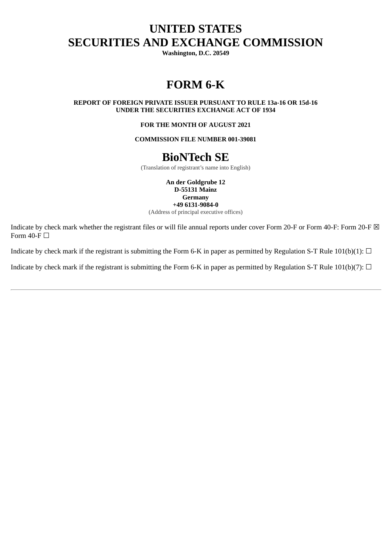# **UNITED STATES SECURITIES AND EXCHANGE COMMISSION**

**Washington, D.C. 20549**

# **FORM 6-K**

**REPORT OF FOREIGN PRIVATE ISSUER PURSUANT TO RULE 13a‑16 OR 15d‑16 UNDER THE SECURITIES EXCHANGE ACT OF 1934**

**FOR THE MONTH OF AUGUST 2021**

**COMMISSION FILE NUMBER 001-39081**

## **BioNTech SE**

(Translation of registrant's name into English)

**An der Goldgrube 12 D-55131 Mainz Germany +49 6131-9084-0**

(Address of principal executive offices)

Indicate by check mark whether the registrant files or will file annual reports under cover Form 20-F or Form 40-F: Form 20-F  $\boxtimes$ Form  $40$ -F $\Box$ 

Indicate by check mark if the registrant is submitting the Form 6-K in paper as permitted by Regulation S-T Rule 101(b)(1):  $\Box$ 

Indicate by check mark if the registrant is submitting the Form 6-K in paper as permitted by Regulation S-T Rule 101(b)(7):  $\Box$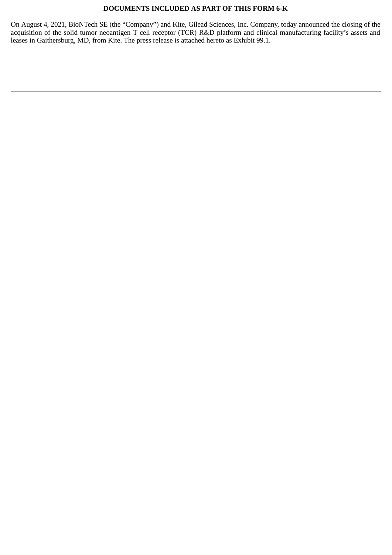### **DOCUMENTS INCLUDED AS PART OF THIS FORM 6-K**

On August 4, 2021, BioNTech SE (the "Company") and Kite, Gilead Sciences, Inc. Company, today announced the closing of the acquisition of the solid tumor neoantigen T cell receptor (TCR) R&D platform and clinical manufacturing facility's assets and leases in Gaithersburg, MD, from Kite. The press release is attached hereto as Exhibit 99.1.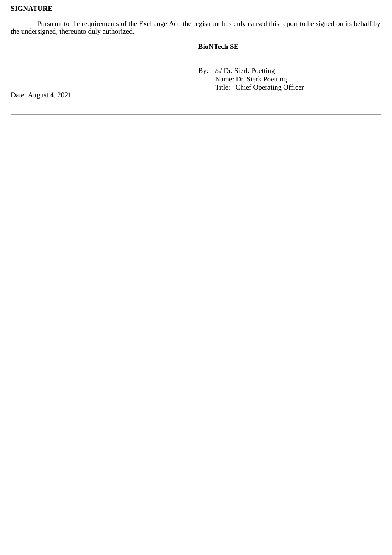### **SIGNATURE**

Pursuant to the requirements of the Exchange Act, the registrant has duly caused this report to be signed on its behalf by the undersigned, thereunto duly authorized.

### **BioNTech SE**

By: /s/ Dr. Sierk Poetting Name: Dr. Sierk Poetting Title: Chief Operating Officer

Date: August 4, 2021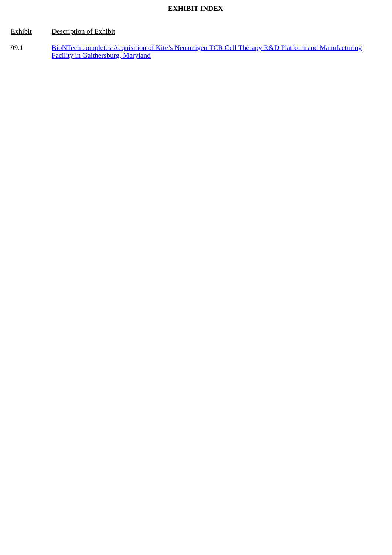## **EXHIBIT INDEX**

## Exhibit Description of Exhibit

99.1 [BioNTech completes Acquisition of Kite's Neoantigen TCR Cell Therapy R&D Platform and Manufacturing](#page-4-0) Facility in Gaithersburg, Maryland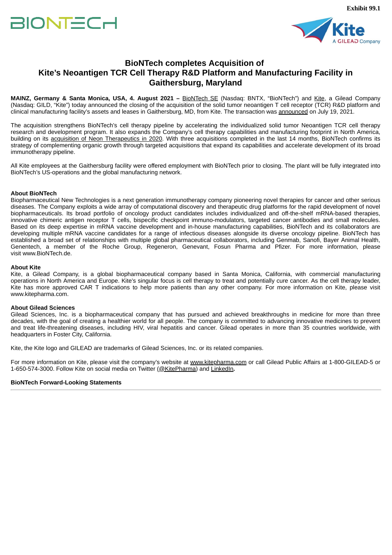# <span id="page-4-0"></span>**BIONTECH**



## **BioNTech completes Acquisition of Kite's Neoantigen TCR Cell Therapy R&D Platform and Manufacturing Facility in Gaithersburg, Maryland**

**MAINZ, Germany & Santa Monica, USA, 4. August 2021 –** BioNTech SE (Nasdaq: BNTX, "BioNTech") and Kite, a Gilead Company (Nasdaq: GILD, "Kite") today announced the closing of the acquisition of the solid tumor neoantigen T cell receptor (TCR) R&D platform and clinical manufacturing facility's assets and leases in Gaithersburg, MD, from Kite. The transaction was announced on July 19, 2021.

The acquisition strengthens BioNTech's cell therapy pipeline by accelerating the individualized solid tumor Neoantigen TCR cell therapy research and development program. It also expands the Company's cell therapy capabilities and manufacturing footprint in North America, building on its acquisition of Neon Therapeutics in 2020. With three acquisitions completed in the last 14 months, BioNTech confirms its strategy of complementing organic growth through targeted acquisitions that expand its capabilities and accelerate development of its broad immunotherapy pipeline.

All Kite employees at the Gaithersburg facility were offered employment with BioNTech prior to closing. The plant will be fully integrated into BioNTech's US-operations and the global manufacturing network.

### **About BioNTech**

Biopharmaceutical New Technologies is a next generation immunotherapy company pioneering novel therapies for cancer and other serious diseases. The Company exploits a wide array of computational discovery and therapeutic drug platforms for the rapid development of novel biopharmaceuticals. Its broad portfolio of oncology product candidates includes individualized and off-the-shelf mRNA-based therapies, innovative chimeric antigen receptor T cells, bispecific checkpoint immuno-modulators, targeted cancer antibodies and small molecules. Based on its deep expertise in mRNA vaccine development and in-house manufacturing capabilities, BioNTech and its collaborators are developing multiple mRNA vaccine candidates for a range of infectious diseases alongside its diverse oncology pipeline. BioNTech has established a broad set of relationships with multiple global pharmaceutical collaborators, including Genmab, Sanofi, Bayer Animal Health, Genentech, a member of the Roche Group, Regeneron, Genevant, Fosun Pharma and Pfizer. For more information, please visit www.BioNTech.de.

### **About Kite**

Kite, a Gilead Company, is a global biopharmaceutical company based in Santa Monica, California, with commercial manufacturing operations in North America and Europe. Kite's singular focus is cell therapy to treat and potentially cure cancer. As the cell therapy leader, Kite has more approved CAR T indications to help more patients than any other company. For more information on Kite, please visit www.kitepharma.com.

### **About Gilead Sciences**

Gilead Sciences, Inc. is a biopharmaceutical company that has pursued and achieved breakthroughs in medicine for more than three decades, with the goal of creating a healthier world for all people. The company is committed to advancing innovative medicines to prevent and treat life-threatening diseases, including HIV, viral hepatitis and cancer. Gilead operates in more than 35 countries worldwide, with headquarters in Foster City, California.

Kite, the Kite logo and GILEAD are trademarks of Gilead Sciences, Inc. or its related companies.

For more information on Kite, please visit the company's website at www.kitepharma.com or call Gilead Public Affairs at 1-800-GILEAD-5 or 1-650-574-3000. Follow Kite on social media on Twitter (@KitePharma) and LinkedIn**.**

### **BioNTech Forward-Looking Statements**